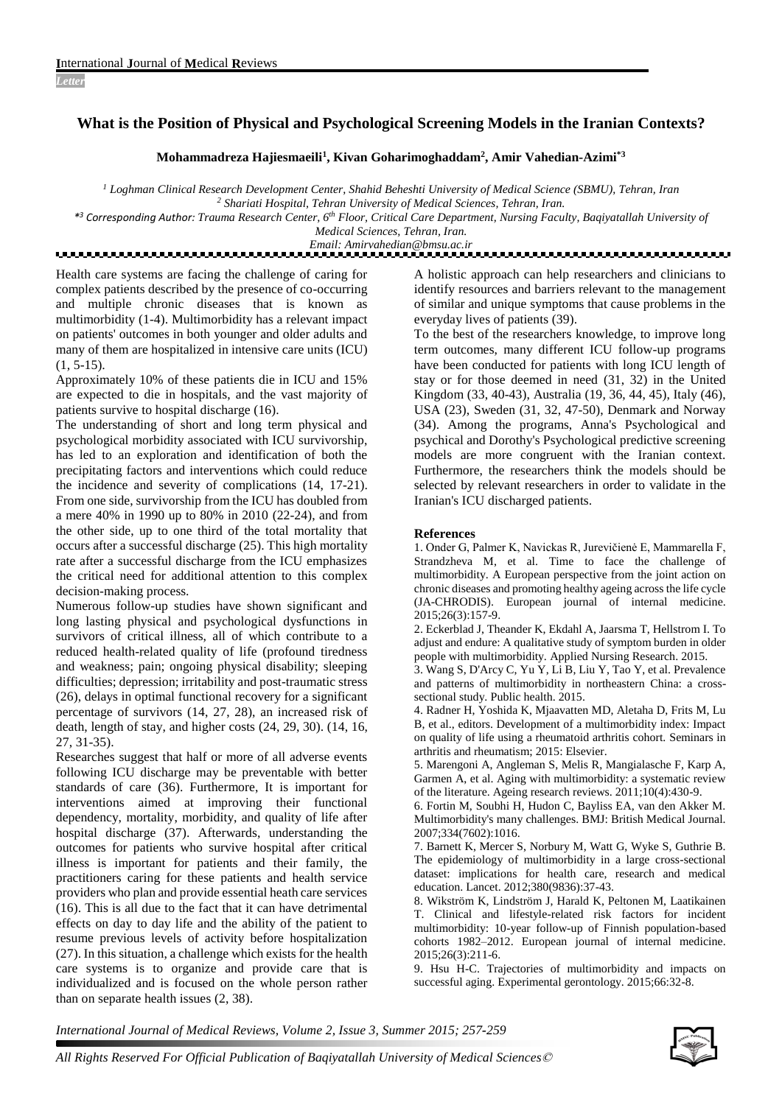## **What is the Position of Physical and Psychological Screening Models in the Iranian Contexts?**

## **Mohammadreza Hajiesmaeili<sup>1</sup> , Kivan Goharimoghaddam<sup>2</sup> , Amir Vahedian-Azimi\*3**

*<sup>1</sup> Loghman Clinical Research Development Center, Shahid Beheshti University of Medical Science (SBMU), Tehran, Iran <sup>2</sup> Shariati Hospital, Tehran University of Medical Sciences, Tehran, Iran.*

*\* <sup>3</sup> Corresponding Author: Trauma Research Center, 6th Floor, Critical Care Department, Nursing Faculty, Baqiyatallah University of* 

*Medical Sciences, Tehran, Iran.*

*Email[: Amirvahedian@bmsu.ac.ir](mailto:Amirvahedian@bmsu.ac.ir)*

Health care systems are facing the challenge of caring for complex patients described by the presence of co-occurring and multiple chronic diseases that is known as multimorbidity [\(1-4\)](#page-0-0). Multimorbidity has a relevant impact on patients' outcomes in both younger and older adults and many of them are hospitalized in intensive care units (ICU)  $(1, 5-15)$  $(1, 5-15)$ .

Approximately 10% of these patients die in ICU and 15% are expected to die in hospitals, and the vast majority of patients survive to hospital discharge [\(16\)](#page-1-0).

The understanding of short and long term physical and psychological morbidity associated with ICU survivorship, has led to an exploration and identification of both the precipitating factors and interventions which could reduce the incidence and severity of complications [\(14,](#page-1-1) [17-21\)](#page-1-2). From one side, survivorship from the ICU has doubled from a mere 40% in 1990 up to 80% in 2010 [\(22-24\)](#page-1-3), and from the other side, up to one third of the total mortality that occurs after a successful discharge [\(25\)](#page-1-4). This high mortality rate after a successful discharge from the ICU emphasizes the critical need for additional attention to this complex decision-making process.

Numerous follow-up studies have shown significant and long lasting physical and psychological dysfunctions in survivors of critical illness, all of which contribute to a reduced health-related quality of life (profound tiredness and weakness; pain; ongoing physical disability; sleeping difficulties; depression; irritability and post-traumatic stress [\(26\)](#page-1-5), delays in optimal functional recovery for a significant percentage of survivors [\(14,](#page-1-1) [27,](#page-1-6) [28\)](#page-1-7), an increased risk of death, length of stay, and higher costs [\(24,](#page-1-8) [29,](#page-1-9) [30\)](#page-1-10). [\(14,](#page-1-1) [16,](#page-1-0) [27,](#page-1-6) [31-35\)](#page-1-11).

Researches suggest that half or more of all adverse events following ICU discharge may be preventable with better standards of care [\(36\)](#page-1-12). Furthermore, It is important for interventions aimed at improving their functional dependency, mortality, morbidity, and quality of life after hospital discharge [\(37\)](#page-1-13). Afterwards, understanding the outcomes for patients who survive hospital after critical illness is important for patients and their family, the practitioners caring for these patients and health service providers who plan and provide essential heath care services [\(16\)](#page-1-0). This is all due to the fact that it can have detrimental effects on day to day life and the ability of the patient to resume previous levels of activity before hospitalization [\(27\)](#page-1-6). In this situation, a challenge which exists for the health care systems is to organize and provide care that is individualized and is focused on the whole person rather than on separate health issues [\(2,](#page-0-2) [38\)](#page-1-14).

A holistic approach can help researchers and clinicians to identify resources and barriers relevant to the management of similar and unique symptoms that cause problems in the everyday lives of patients [\(39\)](#page-1-15).

To the best of the researchers knowledge, to improve long term outcomes, many different ICU follow-up programs have been conducted for patients with long ICU length of stay or for those deemed in need [\(31,](#page-1-11) [32\)](#page-1-16) in the United Kingdom [\(33,](#page-1-17) [40-43\)](#page-1-18), Australia [\(19,](#page-1-19) [36,](#page-1-12) [44,](#page-1-20) [45\)](#page-2-0), Italy [\(46\)](#page-2-1), USA [\(23\)](#page-1-21), Sweden [\(31,](#page-1-11) [32,](#page-1-16) [47-50\)](#page-2-2), Denmark and Norway [\(34\)](#page-1-22). Among the programs, Anna's Psychological and psychical and Dorothy's Psychological predictive screening models are more congruent with the Iranian context. Furthermore, the researchers think the models should be selected by relevant researchers in order to validate in the Iranian's ICU discharged patients.

## **References**

<span id="page-0-0"></span>1. Onder G, Palmer K, Navickas R, Jurevičienė E, Mammarella F, Strandzheva M, et al. Time to face the challenge of multimorbidity. A European perspective from the joint action on chronic diseases and promoting healthy ageing across the life cycle (JA-CHRODIS). European journal of internal medicine. 2015;26(3):157-9.

<span id="page-0-2"></span>2. Eckerblad J, Theander K, Ekdahl A, Jaarsma T, Hellstrom I. To adjust and endure: A qualitative study of symptom burden in older people with multimorbidity. Applied Nursing Research. 2015.

3. Wang S, D'Arcy C, Yu Y, Li B, Liu Y, Tao Y, et al. Prevalence and patterns of multimorbidity in northeastern China: a crosssectional study. Public health. 2015.

4. Radner H, Yoshida K, Mjaavatten MD, Aletaha D, Frits M, Lu B, et al., editors. Development of a multimorbidity index: Impact on quality of life using a rheumatoid arthritis cohort. Seminars in arthritis and rheumatism; 2015: Elsevier.

<span id="page-0-1"></span>5. Marengoni A, Angleman S, Melis R, Mangialasche F, Karp A, Garmen A, et al. Aging with multimorbidity: a systematic review of the literature. Ageing research reviews. 2011;10(4):430-9.

6. Fortin M, Soubhi H, Hudon C, Bayliss EA, van den Akker M. Multimorbidity's many challenges. BMJ: British Medical Journal. 2007;334(7602):1016.

7. Barnett K, Mercer S, Norbury M, Watt G, Wyke S, Guthrie B. The epidemiology of multimorbidity in a large cross-sectional dataset: implications for health care, research and medical education. Lancet. 2012;380(9836):37-43.

8. Wikström K, Lindström J, Harald K, Peltonen M, Laatikainen T. Clinical and lifestyle-related risk factors for incident multimorbidity: 10-year follow-up of Finnish population-based cohorts 1982–2012. European journal of internal medicine. 2015;26(3):211-6.

9. Hsu H-C. Trajectories of multimorbidity and impacts on successful aging. Experimental gerontology. 2015;66:32-8.

*International Journal of Medical Reviews, Volume 2, Issue 3, Summer 2015; 257-259*

*All Rights Reserved For Official Publication of Baqiyatallah University of Medical Sciences*©

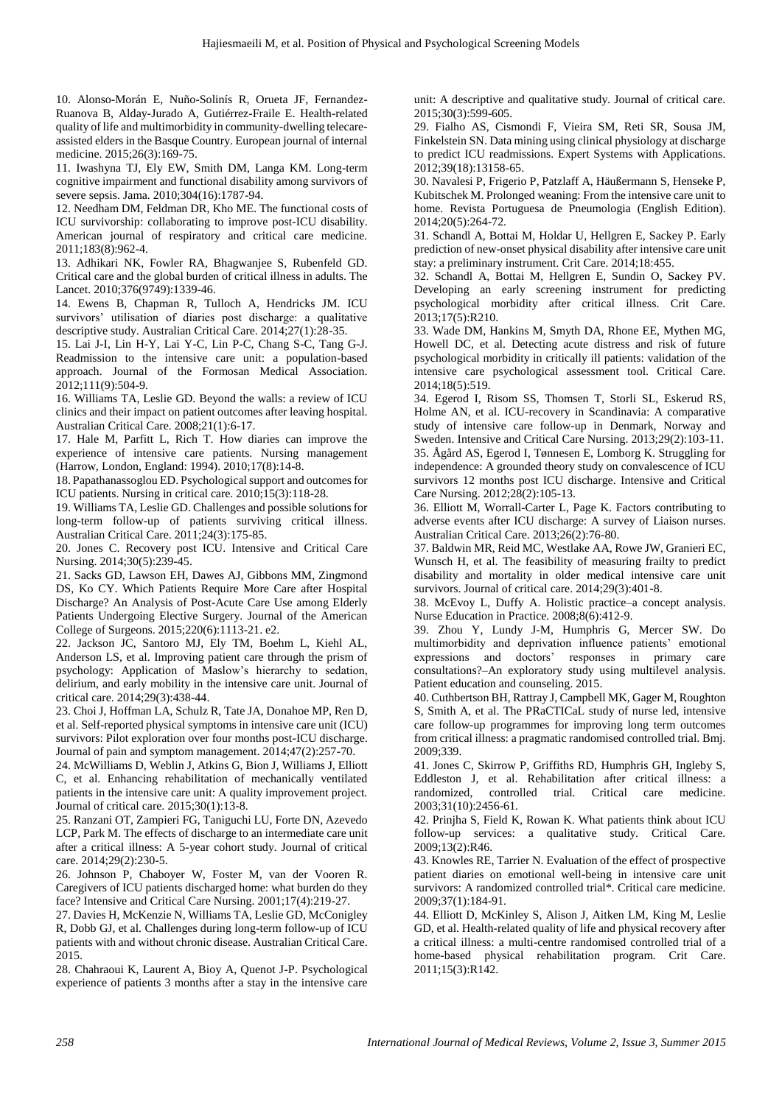10. Alonso-Morán E, Nuño-Solinís R, Orueta JF, Fernandez-Ruanova B, Alday-Jurado A, Gutiérrez-Fraile E. Health-related quality of life and multimorbidity in community-dwelling telecareassisted elders in the Basque Country. European journal of internal medicine. 2015;26(3):169-75.

11. Iwashyna TJ, Ely EW, Smith DM, Langa KM. Long-term cognitive impairment and functional disability among survivors of severe sepsis. Jama. 2010;304(16):1787-94.

12. Needham DM, Feldman DR, Kho ME. The functional costs of ICU survivorship: collaborating to improve post-ICU disability. American journal of respiratory and critical care medicine. 2011;183(8):962-4.

13. Adhikari NK, Fowler RA, Bhagwanjee S, Rubenfeld GD. Critical care and the global burden of critical illness in adults. The Lancet. 2010;376(9749):1339-46.

<span id="page-1-1"></span>14. Ewens B, Chapman R, Tulloch A, Hendricks JM. ICU survivors' utilisation of diaries post discharge: a qualitative descriptive study. Australian Critical Care. 2014;27(1):28-35.

15. Lai J-I, Lin H-Y, Lai Y-C, Lin P-C, Chang S-C, Tang G-J. Readmission to the intensive care unit: a population-based approach. Journal of the Formosan Medical Association. 2012;111(9):504-9.

<span id="page-1-0"></span>16. Williams TA, Leslie GD. Beyond the walls: a review of ICU clinics and their impact on patient outcomes after leaving hospital. Australian Critical Care. 2008;21(1):6-17.

<span id="page-1-2"></span>17. Hale M, Parfitt L, Rich T. How diaries can improve the experience of intensive care patients. Nursing management (Harrow, London, England: 1994). 2010;17(8):14-8.

18. Papathanassoglou ED. Psychological support and outcomes for ICU patients. Nursing in critical care. 2010;15(3):118-28.

<span id="page-1-19"></span>19. Williams TA, Leslie GD. Challenges and possible solutions for long-term follow-up of patients surviving critical illness. Australian Critical Care. 2011;24(3):175-85.

20. Jones C. Recovery post ICU. Intensive and Critical Care Nursing. 2014;30(5):239-45.

21. Sacks GD, Lawson EH, Dawes AJ, Gibbons MM, Zingmond DS, Ko CY. Which Patients Require More Care after Hospital Discharge? An Analysis of Post-Acute Care Use among Elderly Patients Undergoing Elective Surgery. Journal of the American College of Surgeons. 2015;220(6):1113-21. e2.

<span id="page-1-3"></span>22. Jackson JC, Santoro MJ, Ely TM, Boehm L, Kiehl AL, Anderson LS, et al. Improving patient care through the prism of psychology: Application of Maslow's hierarchy to sedation, delirium, and early mobility in the intensive care unit. Journal of critical care. 2014;29(3):438-44.

<span id="page-1-21"></span>23. Choi J, Hoffman LA, Schulz R, Tate JA, Donahoe MP, Ren D, et al. Self-reported physical symptoms in intensive care unit (ICU) survivors: Pilot exploration over four months post-ICU discharge. Journal of pain and symptom management. 2014;47(2):257-70.

<span id="page-1-8"></span>24. McWilliams D, Weblin J, Atkins G, Bion J, Williams J, Elliott C, et al. Enhancing rehabilitation of mechanically ventilated patients in the intensive care unit: A quality improvement project. Journal of critical care. 2015;30(1):13-8.

<span id="page-1-4"></span>25. Ranzani OT, Zampieri FG, Taniguchi LU, Forte DN, Azevedo LCP, Park M. The effects of discharge to an intermediate care unit after a critical illness: A 5-year cohort study. Journal of critical care. 2014;29(2):230-5.

<span id="page-1-5"></span>26. Johnson P, Chaboyer W, Foster M, van der Vooren R. Caregivers of ICU patients discharged home: what burden do they face? Intensive and Critical Care Nursing. 2001;17(4):219-27.

<span id="page-1-6"></span>27. Davies H, McKenzie N, Williams TA, Leslie GD, McConigley R, Dobb GJ, et al. Challenges during long-term follow-up of ICU patients with and without chronic disease. Australian Critical Care. 2015.

<span id="page-1-7"></span>28. Chahraoui K, Laurent A, Bioy A, Quenot J-P. Psychological experience of patients 3 months after a stay in the intensive care unit: A descriptive and qualitative study. Journal of critical care. 2015;30(3):599-605.

<span id="page-1-9"></span>29. Fialho AS, Cismondi F, Vieira SM, Reti SR, Sousa JM, Finkelstein SN. Data mining using clinical physiology at discharge to predict ICU readmissions. Expert Systems with Applications. 2012;39(18):13158-65.

<span id="page-1-10"></span>30. Navalesi P, Frigerio P, Patzlaff A, Häußermann S, Henseke P, Kubitschek M. Prolonged weaning: From the intensive care unit to home. Revista Portuguesa de Pneumologia (English Edition). 2014;20(5):264-72.

<span id="page-1-11"></span>31. Schandl A, Bottai M, Holdar U, Hellgren E, Sackey P. Early prediction of new-onset physical disability after intensive care unit stay: a preliminary instrument. Crit Care. 2014;18:455.

<span id="page-1-16"></span>32. Schandl A, Bottai M, Hellgren E, Sundin O, Sackey PV. Developing an early screening instrument for predicting psychological morbidity after critical illness. Crit Care. 2013;17(5):R210.

<span id="page-1-17"></span>33. Wade DM, Hankins M, Smyth DA, Rhone EE, Mythen MG, Howell DC, et al. Detecting acute distress and risk of future psychological morbidity in critically ill patients: validation of the intensive care psychological assessment tool. Critical Care. 2014;18(5):519.

<span id="page-1-22"></span>34. Egerod I, Risom SS, Thomsen T, Storli SL, Eskerud RS, Holme AN, et al. ICU-recovery in Scandinavia: A comparative study of intensive care follow-up in Denmark, Norway and Sweden. Intensive and Critical Care Nursing. 2013;29(2):103-11. 35. Ågård AS, Egerod I, Tønnesen E, Lomborg K. Struggling for independence: A grounded theory study on convalescence of ICU survivors 12 months post ICU discharge. Intensive and Critical Care Nursing. 2012;28(2):105-13.

<span id="page-1-12"></span>36. Elliott M, Worrall-Carter L, Page K. Factors contributing to adverse events after ICU discharge: A survey of Liaison nurses. Australian Critical Care. 2013;26(2):76-80.

<span id="page-1-13"></span>37. Baldwin MR, Reid MC, Westlake AA, Rowe JW, Granieri EC, Wunsch H, et al. The feasibility of measuring frailty to predict disability and mortality in older medical intensive care unit survivors. Journal of critical care. 2014;29(3):401-8.

<span id="page-1-14"></span>38. McEvoy L, Duffy A. Holistic practice–a concept analysis. Nurse Education in Practice. 2008;8(6):412-9.

<span id="page-1-15"></span>39. Zhou Y, Lundy J-M, Humphris G, Mercer SW. Do multimorbidity and deprivation influence patients' emotional expressions and doctors' responses in primary care consultations?–An exploratory study using multilevel analysis. Patient education and counseling. 2015.

<span id="page-1-18"></span>40. Cuthbertson BH, Rattray J, Campbell MK, Gager M, Roughton S, Smith A, et al. The PRaCTICaL study of nurse led, intensive care follow-up programmes for improving long term outcomes from critical illness: a pragmatic randomised controlled trial. Bmj. 2009;339.

41. Jones C, Skirrow P, Griffiths RD, Humphris GH, Ingleby S, Eddleston J, et al. Rehabilitation after critical illness: a randomized, controlled trial. Critical care medicine. 2003;31(10):2456-61.

42. Prinjha S, Field K, Rowan K. What patients think about ICU follow-up services: a qualitative study. Critical Care. 2009;13(2):R46.

43. Knowles RE, Tarrier N. Evaluation of the effect of prospective patient diaries on emotional well-being in intensive care unit survivors: A randomized controlled trial\*. Critical care medicine. 2009;37(1):184-91.

<span id="page-1-20"></span>44. Elliott D, McKinley S, Alison J, Aitken LM, King M, Leslie GD, et al. Health-related quality of life and physical recovery after a critical illness: a multi-centre randomised controlled trial of a home-based physical rehabilitation program. Crit Care. 2011;15(3):R142.